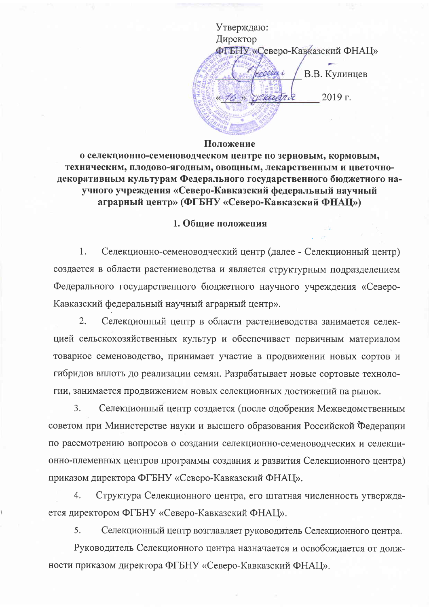Утверждаю: Директор ФГБНУ «Северо-Кавказский ФНАЦ» rocceur i В.В. Кулинцев » generalnie 2019 г.

### Положение

о селекционно-семеноводческом центре по зерновым, кормовым, техническим, плодово-ягодным, овощным, лекарственным и цветочнодекоративным культурам Федерального государственного бюджетного научного учреждения «Северо-Кавказский федеральный научный аграрный центр» (ФГБНУ «Северо-Кавказский ФНАЦ»)

### 1. Общие положения

 $\mathbf{1}$ . Селекционно-семеноводческий центр (далее - Селекционный центр) создается в области растениеводства и является структурным подразделением Федерального государственного бюджетного научного учреждения «Северо-Кавказский федеральный научный аграрный центр».

Селекционный центр в области растениеводства занимается селек- $2.$ цией сельскохозяйственных культур и обеспечивает первичным материалом товарное семеноводство, принимает участие в продвижении новых сортов и гибридов вплоть до реализации семян. Разрабатывает новые сортовые технологии, занимается продвижением новых селекционных достижений на рынок.

 $3.$ Селекционный центр создается (после одобрения Межведомственным советом при Министерстве науки и высшего образования Российской Федерации по рассмотрению вопросов о создании селекционно-семеноводческих и селекционно-племенных центров программы создания и развития Селекционного центра) приказом директора ФГБНУ «Северо-Кавказский ФНАЦ».

 $4.$ Структура Селекционного центра, его штатная численность утверждается директором ФГБНУ «Северо-Кавказский ФНАЦ».

5. Селекционный центр возглавляет руководитель Селекционного центра.

Руководитель Селекционного центра назначается и освобождается от должности приказом директора ФГБНУ «Северо-Кавказский ФНАЦ».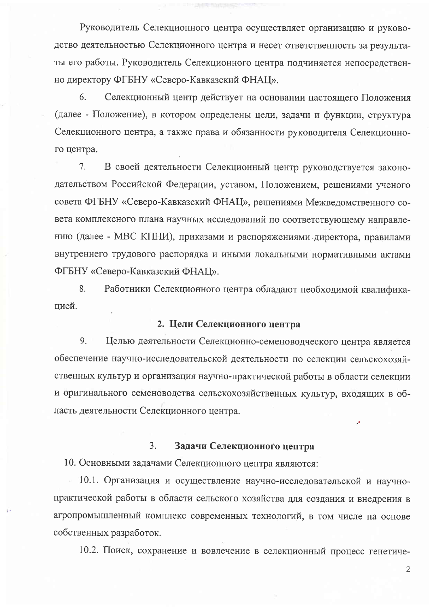Руководитель Селекционного центра осуществляет организацию и руководство деятельностью Селекционного центра и несет ответственность за результаты его работы. Руководитель Селекционного центра подчиняется непосредственно директору ФГБНУ «Северо-Кавказский ФНАЦ».

6. Селекционный центр действует на основании настоящего Положения (далее - Положение), в котором определены цели, задачи и функции, структура Селекционного центра, а также права и обязанности руководителя Селекционного центра.

 $7<sub>1</sub>$ В своей деятельности Селекционный центр руководствуется законодательством Российской Федерации, уставом, Положением, решениями ученого совета ФГБНУ «Северо-Кавказский ФНАЦ», решениями Межведомственного совета комплексного плана научных исследований по соответствующему направлению (далее - МВС КПНИ), приказами и распоряжениями директора, правилами внутреннего трудового распорядка и иными локальными нормативными актами ФГБНУ «Северо-Кавказский ФНАЦ».

8. Работники Селекционного центра обладают необходимой квалификацией.

## 2. Цели Селекционного центра

9. Целью деятельности Селекционно-семеноводческого центра является обеспечение научно-исследовательской деятельности по селекции сельскохозяйственных культур и организация научно-практической работы в области селекции и оригинального семеноводства сельскохозяйственных культур, входящих в область деятельности Селекционного центра.

#### $3.$ Задачи Селекционного центра

10. Основными задачами Селекционного центра являются:

10.1. Организация и осуществление научно-исследовательской и научнопрактической работы в области сельского хозяйства для создания и внедрения в агропромышленный комплекс современных технологий, в том числе на основе собственных разработок.

10.2. Поиск, сохранение и вовлечение в селекционный процесс генетиче-

 $\overline{2}$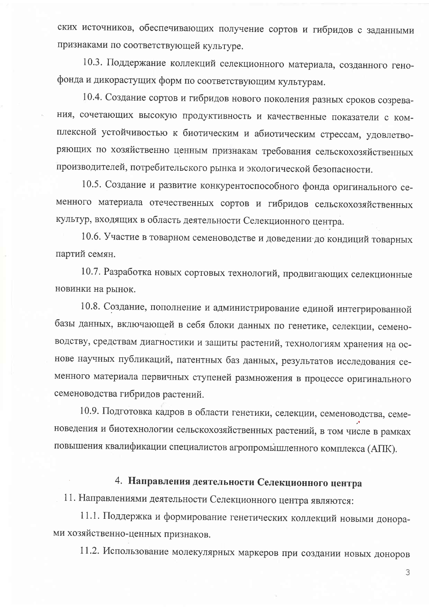ских источников, обеспечивающих получение сортов и гибридов с заданными признаками по соответствующей культуре.

10.3. Поддержание коллекций селекционного материала, созданного генофонда и дикорастущих форм по соответствующим культурам.

10.4. Создание сортов и гибридов нового поколения разных сроков созревания, сочетающих высокую продуктивность и качественные показатели с комплексной устойчивостью к биотическим и абиотическим стрессам, удовлетворяющих по хозяйственно ценным признакам требования сельскохозяйственных производителей, потребительского рынка и экологической безопасности.

10.5. Создание и развитие конкурентоспособного фонда оригинального семенного материала отечественных сортов и гибридов сельскохозяйственных культур, входящих в область деятельности Селекционного центра.

10.6. Участие в товарном семеноводстве и доведении до кондиций товарных партий семян.

10.7. Разработка новых сортовых технологий, продвигающих селекционные новинки на рынок.

10.8. Создание, пополнение и администрирование единой интегрированной базы данных, включающей в себя блоки данных по генетике, селекции, семеноводству, средствам диагностики и защиты растений, технологиям хранения на основе научных публикаций, патентных баз данных, результатов исследования семенного материала первичных ступеней размножения в процессе оригинального семеноводства гибридов растений.

10.9. Подготовка кадров в области генетики, селекции, семеноводства, семеноведения и биотехнологии сельскохозяйственных растений, в том числе в рамках повышения квалификации специалистов агропромышленного комплекса (АПК).

# 4. Направления деятельности Селекционного центра

11. Направлениями деятельности Селекционного центра являются:

11.1. Поддержка и формирование генетических коллекций новыми донорами хозяйственно-ценных признаков.

11.2. Использование молекулярных маркеров при создании новых доноров

3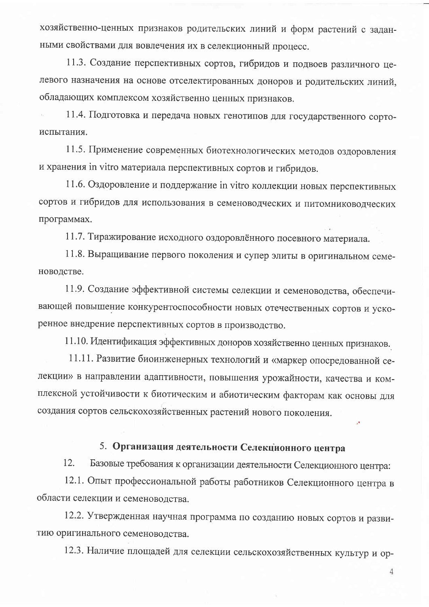хозяйственно-ценных признаков родительских линий и форм растений с заданными свойствами для вовлечения их в селекционный процесс.

11.3. Создание перспективных сортов, гибридов и подвоев различного целевого назначения на основе отселектированных доноров и родительских линий, обладающих комплексом хозяйственно ценных признаков.

11.4. Подготовка и передача новых генотипов для государственного сортоиспытания.

11.5. Применение современных биотехнологических методов оздоровления и хранения in vitro материала перспективных сортов и гибридов.

11.6. Оздоровление и поддержание in vitro коллекции новых перспективных сортов и гибридов для использования в семеноводческих и питомниководческих программах.

11.7. Тиражирование исходного оздоровлённого посевного материала.

11.8. Выращивание первого поколения и супер элиты в оригинальном семеноводстве.

11.9. Создание эффективной системы селекции и семеноводства, обеспечивающей повышение конкурентоспособности новых отечественных сортов и ускоренное внедрение перспективных сортов в производство.

11.10. Идентификация эффективных доноров хозяйственно ценных признаков.

11.11. Развитие биоинженерных технологий и «маркер опосредованной селекции» в направлении адаптивности, повышения урожайности, качества и комплексной устойчивости к биотическим и абиотическим факторам как основы для создания сортов сельскохозяйственных растений нового поколения.

# 5. Организация деятельности Селекционного центра

Базовые требования к организации деятельности Селекционного центра: 12.

12.1. Опыт профессиональной работы работников Селекционного центра в области селекции и семеноводства.

12.2. Утвержденная научная программа по созданию новых сортов и развитию оригинального семеноводства.

12.3. Наличие площадей для селекции сельскохозяйственных культур и ор-

4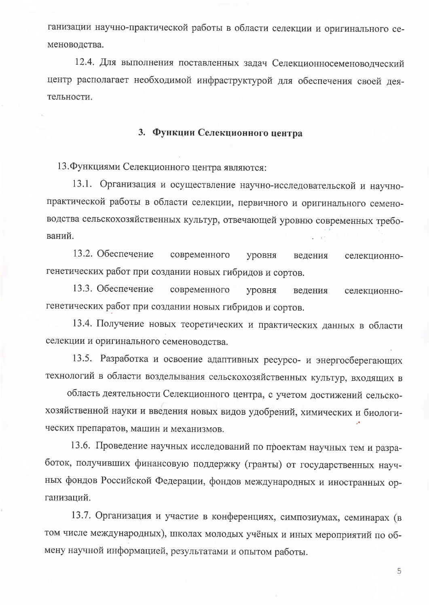ганизации научно-практической работы в области селекции и оригинального семеноводства.

12.4. Для выполнения поставленных задач Селекционносеменоводческий центр располагает необходимой инфраструктурой для обеспечения своей леятельности.

## 3. Функции Селекционного центра

13. Функциями Селекционного центра являются:

13.1. Организация и осуществление научно-исследовательской и научнопрактической работы в области селекции, первичного и оригинального семеноводства сельскохозяйственных культур, отвечающей уровню современных требований.

13.2. Обеспечение современного уровня ведения селекционногенетических работ при создании новых гибридов и сортов.

13.3. Обеспечение современного уровня ведения селекционногенетических работ при создании новых гибридов и сортов.

13.4. Получение новых теоретических и практических данных в области селекции и оригинального семеноводства.

13.5. Разработка и освоение адаптивных ресурсо- и энергосберегающих технологий в области возделывания сельскохозяйственных культур, входящих в

область деятельности Селекционного центра, с учетом достижений сельскохозяйственной науки и введения новых видов удобрений, химических и биологических препаратов, машин и механизмов.

13.6. Проведение научных исследований по проектам научных тем и разработок, получивших финансовую поддержку (гранты) от государственных научных фондов Российской Федерации, фондов международных и иностранных организаций.

13.7. Организация и участие в конференциях, симпозиумах, семинарах (в том числе международных), школах молодых учёных и иных мероприятий по обмену научной информацией, результатами и опытом работы.

5